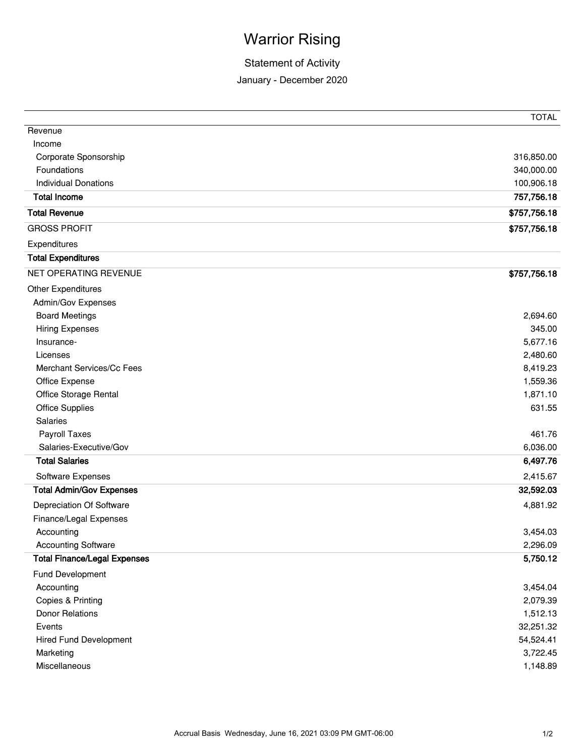## Warrior Rising

## Statement of Activity

January - December 2020

|                                     | <b>TOTAL</b> |
|-------------------------------------|--------------|
| Revenue                             |              |
| Income                              |              |
| Corporate Sponsorship               | 316,850.00   |
| Foundations                         | 340,000.00   |
| <b>Individual Donations</b>         | 100,906.18   |
| <b>Total Income</b>                 | 757,756.18   |
| <b>Total Revenue</b>                | \$757,756.18 |
| <b>GROSS PROFIT</b>                 | \$757,756.18 |
| Expenditures                        |              |
| <b>Total Expenditures</b>           |              |
| NET OPERATING REVENUE               | \$757,756.18 |
| <b>Other Expenditures</b>           |              |
| Admin/Gov Expenses                  |              |
| <b>Board Meetings</b>               | 2,694.60     |
| <b>Hiring Expenses</b>              | 345.00       |
| Insurance-                          | 5,677.16     |
| Licenses                            | 2,480.60     |
| Merchant Services/Cc Fees           | 8,419.23     |
| Office Expense                      | 1,559.36     |
| Office Storage Rental               | 1,871.10     |
| <b>Office Supplies</b>              | 631.55       |
| Salaries                            |              |
| Payroll Taxes                       | 461.76       |
| Salaries-Executive/Gov              | 6,036.00     |
| <b>Total Salaries</b>               | 6,497.76     |
| Software Expenses                   | 2,415.67     |
| <b>Total Admin/Gov Expenses</b>     | 32,592.03    |
| Depreciation Of Software            | 4,881.92     |
| Finance/Legal Expenses              |              |
| Accounting                          | 3,454.03     |
| <b>Accounting Software</b>          | 2,296.09     |
| <b>Total Finance/Legal Expenses</b> | 5,750.12     |
| Fund Development                    |              |
| Accounting                          | 3,454.04     |
| Copies & Printing                   | 2,079.39     |
| <b>Donor Relations</b>              | 1,512.13     |
| Events                              | 32,251.32    |
| <b>Hired Fund Development</b>       | 54,524.41    |
| Marketing                           | 3,722.45     |
| Miscellaneous                       | 1,148.89     |